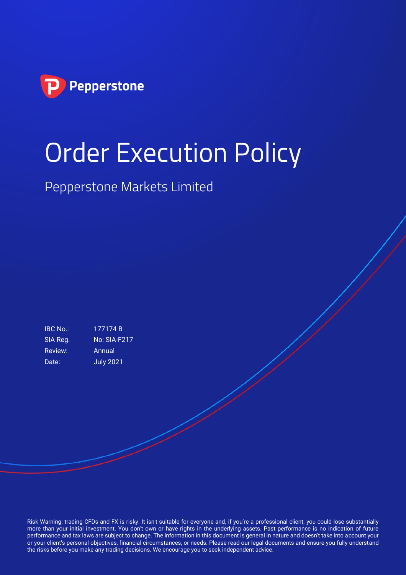

# Order Execution Policy

Pepperstone Markets Limited

IBC No.: 177174 B SIA Reg. No: SIA-F217 Review: Annual Date: **July 2021** 

Risk Warning: trading CFDs and FX is risky. It isn't suitable for everyone and, if you're a professional client, you could lose substantially more than your initial investment. You don't own or have rights in the underlying assets. Past performance is no indication of future performance and tax laws are subject to change. The information in this document is general in nature and doesn't take into account your or your client's personal objectives, financial circumstances, or needs. Please read our legal documents and ensure you fully understand the risks before you make any trading decisions. We encourage you to seek independent advice.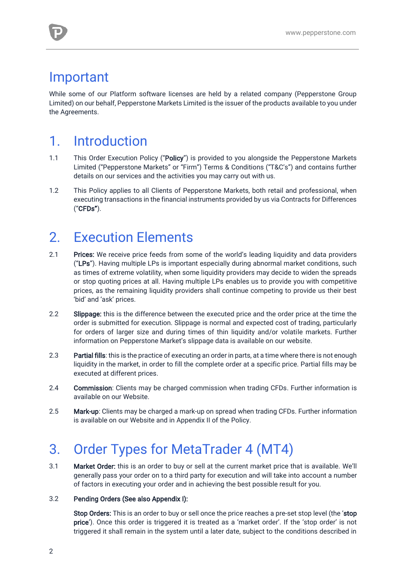### Important

While some of our Platform software licenses are held by a related company (Pepperstone Group Limited) on our behalf, Pepperstone Markets Limited is the issuer of the products available to you under the Agreements.

# 1. Introduction

- 1.1 This Order Execution Policy ("Policy") is provided to you alongside the Pepperstone Markets Limited ("Pepperstone Markets" or "Firm") Terms & Conditions ("T&C's") and contains further details on our services and the activities you may carry out with us.
- 1.2 This Policy applies to all Clients of Pepperstone Markets, both retail and professional, when executing transactions in the financial instruments provided by us via Contracts for Differences ("CFDs").

# 2. Execution Elements

- 2.1 Prices: We receive price feeds from some of the world's leading liquidity and data providers ("LPs"). Having multiple LPs is important especially during abnormal market conditions, such as times of extreme volatility, when some liquidity providers may decide to widen the spreads or stop quoting prices at all. Having multiple LPs enables us to provide you with competitive prices, as the remaining liquidity providers shall continue competing to provide us their best 'bid' and 'ask' prices.
- 2.2 Slippage: this is the difference between the executed price and the order price at the time the order is submitted for execution. Slippage is normal and expected cost of trading, particularly for orders of larger size and during times of thin liquidity and/or volatile markets. Further information on Pepperstone Market's slippage data is available on our website.
- 2.3 Partial fills: this is the practice of executing an order in parts, at a time where there is not enough liquidity in the market, in order to fill the complete order at a specific price. Partial fills may be executed at different prices.
- 2.4 Commission: Clients may be charged commission when trading CFDs. Further information is available on our Website.
- 2.5 Mark-up: Clients may be charged a mark-up on spread when trading CFDs. Further information is available on our Website and in Appendix II of the Policy.

# 3. Order Types for MetaTrader 4 (MT4)

3.1 Market Order: this is an order to buy or sell at the current market price that is available. We'll generally pass your order on to a third party for execution and will take into account a number of factors in executing your order and in achieving the best possible result for you.

#### 3.2 Pending Orders (See also Appendix I):

Stop Orders: This is an order to buy or sell once the price reaches a pre-set stop level (the 'stop price'). Once this order is triggered it is treated as a 'market order'. If the 'stop order' is not triggered it shall remain in the system until a later date, subject to the conditions described in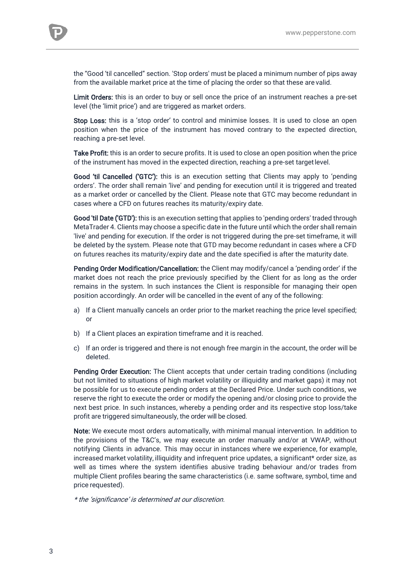the "Good 'til cancelled" section. 'Stop orders' must be placed a minimum number of pips away from the available market price at the time of placing the order so that these are valid.

Limit Orders: this is an order to buy or sell once the price of an instrument reaches a pre-set level (the 'limit price') and are triggered as market orders.

Stop Loss: this is a 'stop order' to control and minimise losses. It is used to close an open position when the price of the instrument has moved contrary to the expected direction, reaching a pre-set level.

Take Profit: this is an order to secure profits. It is used to close an open position when the price of the instrument has moved in the expected direction, reaching a pre-set targetlevel.

Good 'til Cancelled ('GTC'): this is an execution setting that Clients may apply to 'pending orders'. The order shall remain 'live' and pending for execution until it is triggered and treated as a market order or cancelled by the Client. Please note that GTC may become redundant in cases where a CFD on futures reaches its maturity/expiry date.

Good 'til Date ('GTD'): this is an execution setting that applies to 'pending orders' traded through MetaTrader 4. Clients may choose a specific date in the future until which the order shall remain 'live' and pending for execution. If the order is not triggered during the pre-set timeframe, it will be deleted by the system. Please note that GTD may become redundant in cases where a CFD on futures reaches its maturity/expiry date and the date specified is after the maturity date.

Pending Order Modification/Cancellation: the Client may modify/cancel a 'pending order' if the market does not reach the price previously specified by the Client for as long as the order remains in the system. In such instances the Client is responsible for managing their open position accordingly. An order will be cancelled in the event of any of the following:

- a) If a Client manually cancels an order prior to the market reaching the price level specified; or
- b) If a Client places an expiration timeframe and it is reached.
- c) If an order is triggered and there is not enough free margin in the account, the order will be deleted.

Pending Order Execution: The Client accepts that under certain trading conditions (including but not limited to situations of high market volatility or illiquidity and market gaps) it may not be possible for us to execute pending orders at the Declared Price. Under such conditions, we reserve the right to execute the order or modify the opening and/or closing price to provide the next best price. In such instances, whereby a pending order and its respective stop loss/take profit are triggered simultaneously, the order will be closed.

Note: We execute most orders automatically, with minimal manual intervention. In addition to the provisions of the T&C's, we may execute an order manually and/or at VWAP, without notifying Clients in advance. This may occur in instances where we experience, for example, increased market volatility, illiquidity and infrequent price updates, a significant\* order size, as well as times where the system identifies abusive trading behaviour and/or trades from multiple Client profiles bearing the same characteristics (i.e. same software, symbol, time and price requested).

\* the 'significance' is determined at our discretion.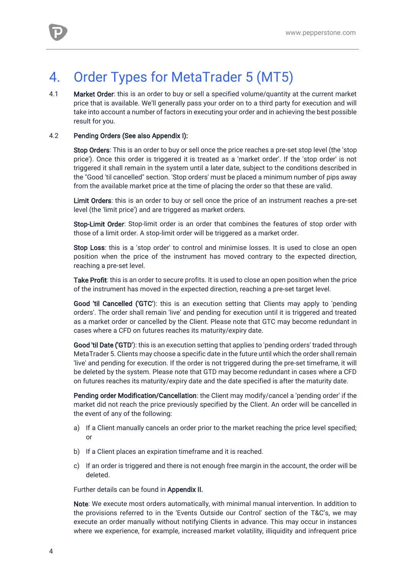

# 4. Order Types for MetaTrader 5 (MT5)

4.1 Market Order: this is an order to buy or sell a specified volume/quantity at the current market price that is available. We'll generally pass your order on to a third party for execution and will take into account a number of factors in executing your order and in achieving the best possible result for you.

#### 4.2 Pending Orders (See also Appendix I):

Stop Orders: This is an order to buy or sell once the price reaches a pre-set stop level (the 'stop price'). Once this order is triggered it is treated as a 'market order'. If the 'stop order' is not triggered it shall remain in the system until a later date, subject to the conditions described in the "Good 'til cancelled" section. 'Stop orders' must be placed a minimum number of pips away from the available market price at the time of placing the order so that these are valid.

Limit Orders: this is an order to buy or sell once the price of an instrument reaches a pre-set level (the 'limit price') and are triggered as market orders.

Stop-Limit Order: Stop-limit order is an order that combines the features of stop order with those of a limit order. A stop-limit order will be triggered as a market order.

Stop Loss: this is a 'stop order' to control and minimise losses. It is used to close an open position when the price of the instrument has moved contrary to the expected direction, reaching a pre-set level.

Take Profit: this is an order to secure profits. It is used to close an open position when the price of the instrument has moved in the expected direction, reaching a pre-set target level.

Good 'til Cancelled ('GTC'): this is an execution setting that Clients may apply to 'pending orders'. The order shall remain 'live' and pending for execution until it is triggered and treated as a market order or cancelled by the Client. Please note that GTC may become redundant in cases where a CFD on futures reaches its maturity/expiry date.

Good 'til Date ('GTD'): this is an execution setting that applies to 'pending orders' traded through MetaTrader 5. Clients may choose a specific date in the future until which the order shall remain 'live' and pending for execution. If the order is not triggered during the pre-set timeframe, it will be deleted by the system. Please note that GTD may become redundant in cases where a CFD on futures reaches its maturity/expiry date and the date specified is after the maturity date.

Pending order Modification/Cancellation: the Client may modify/cancel a 'pending order' if the market did not reach the price previously specified by the Client. An order will be cancelled in the event of any of the following:

- a) If a Client manually cancels an order prior to the market reaching the price level specified; or
- b) If a Client places an expiration timeframe and it is reached.
- c) If an order is triggered and there is not enough free margin in the account, the order will be deleted.

Further details can be found in Appendix II.

Note: We execute most orders automatically, with minimal manual intervention. In addition to the provisions referred to in the 'Events Outside our Control' section of the T&C's, we may execute an order manually without notifying Clients in advance. This may occur in instances where we experience, for example, increased market volatility, illiquidity and infrequent price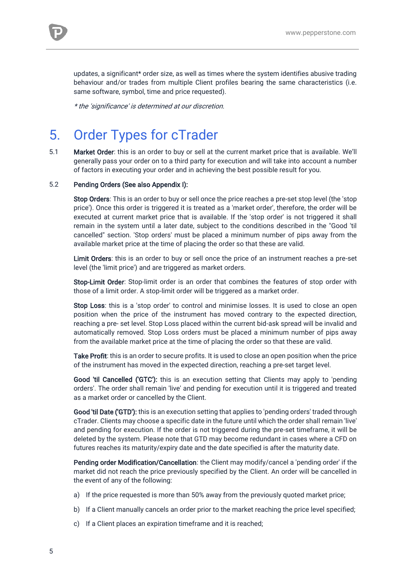updates, a significant\* order size, as well as times where the system identifies abusive trading behaviour and/or trades from multiple Client profiles bearing the same characteristics (i.e. same software, symbol, time and price requested).

\* the 'significance' is determined at our discretion.

# 5. Order Types for cTrader

5.1 Market Order: this is an order to buy or sell at the current market price that is available. We'll generally pass your order on to a third party for execution and will take into account a number of factors in executing your order and in achieving the best possible result for you.

#### 5.2 Pending Orders (See also Appendix I):

Stop Orders: This is an order to buy or sell once the price reaches a pre-set stop level (the 'stop price'). Once this order is triggered it is treated as a 'market order', therefore, the order will be executed at current market price that is available. If the 'stop order' is not triggered it shall remain in the system until a later date, subject to the conditions described in the "Good 'til cancelled" section. 'Stop orders' must be placed a minimum number of pips away from the available market price at the time of placing the order so that these are valid.

Limit Orders: this is an order to buy or sell once the price of an instrument reaches a pre-set level (the 'limit price') and are triggered as market orders.

Stop-Limit Order: Stop-limit order is an order that combines the features of stop order with those of a limit order. A stop-limit order will be triggered as a market order.

Stop Loss: this is a 'stop order' to control and minimise losses. It is used to close an open position when the price of the instrument has moved contrary to the expected direction, reaching a pre- set level. Stop Loss placed within the current bid-ask spread will be invalid and automatically removed. Stop Loss orders must be placed a minimum number of pips away from the available market price at the time of placing the order so that these are valid.

Take Profit: this is an order to secure profits. It is used to close an open position when the price of the instrument has moved in the expected direction, reaching a pre-set target level.

Good 'til Cancelled ('GTC'): this is an execution setting that Clients may apply to 'pending orders'. The order shall remain 'live' and pending for execution until it is triggered and treated as a market order or cancelled by the Client.

Good 'til Date ('GTD'): this is an execution setting that applies to 'pending orders' traded through cTrader. Clients may choose a specific date in the future until which the order shall remain 'live' and pending for execution. If the order is not triggered during the pre-set timeframe, it will be deleted by the system. Please note that GTD may become redundant in cases where a CFD on futures reaches its maturity/expiry date and the date specified is after the maturity date.

Pending order Modification/Cancellation: the Client may modify/cancel a 'pending order' if the market did not reach the price previously specified by the Client. An order will be cancelled in the event of any of the following:

- a) If the price requested is more than 50% away from the previously quoted market price;
- b) If a Client manually cancels an order prior to the market reaching the price level specified;
- c) If a Client places an expiration timeframe and it is reached;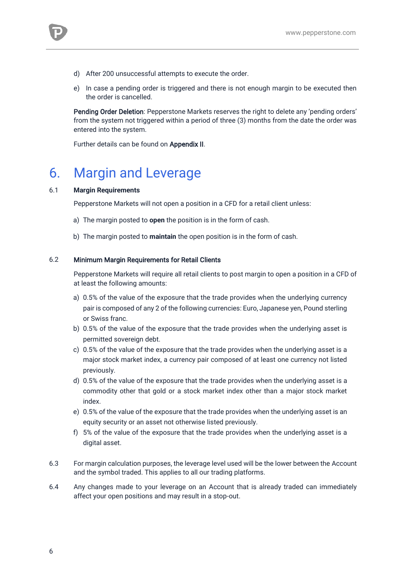- d) After 200 unsuccessful attempts to execute the order.
- e) In case a pending order is triggered and there is not enough margin to be executed then the order is cancelled.

Pending Order Deletion: Pepperstone Markets reserves the right to delete any 'pending orders' from the system not triggered within a period of three (3) months from the date the order was entered into the system.

Further details can be found on Appendix II.

# 6. Margin and Leverage

#### 6.1 **Margin Requirements**

Pepperstone Markets will not open a position in a CFD for a retail client unless:

- a) The margin posted to **open** the position is in the form of cash.
- b) The margin posted to **maintain** the open position is in the form of cash.

#### 6.2 Minimum Margin Requirements for Retail Clients

Pepperstone Markets will require all retail clients to post margin to open a position in a CFD of at least the following amounts:

- a) 0.5% of the value of the exposure that the trade provides when the underlying currency pair is composed of any 2 of the following currencies: Euro, Japanese yen, Pound sterling or Swiss franc.
- b) 0.5% of the value of the exposure that the trade provides when the underlying asset is permitted sovereign debt.
- c) 0.5% of the value of the exposure that the trade provides when the underlying asset is a major stock market index, a currency pair composed of at least one currency not listed previously.
- d) 0.5% of the value of the exposure that the trade provides when the underlying asset is a commodity other that gold or a stock market index other than a major stock market index.
- e) 0.5% of the value of the exposure that the trade provides when the underlying asset is an equity security or an asset not otherwise listed previously.
- f) 5% of the value of the exposure that the trade provides when the underlying asset is a digital asset.
- 6.3 For margin calculation purposes, the leverage level used will be the lower between the Account and the symbol traded. This applies to all our trading platforms.
- 6.4 Any changes made to your leverage on an Account that is already traded can immediately affect your open positions and may result in a stop-out.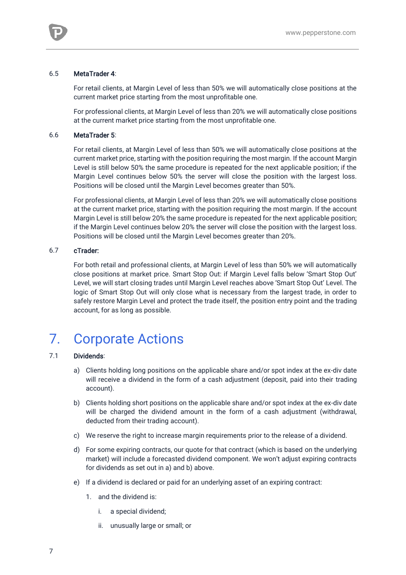#### 6.5 MetaTrader 4:

For retail clients, at Margin Level of less than 50% we will automatically close positions at the current market price starting from the most unprofitable one.

For professional clients, at Margin Level of less than 20% we will automatically close positions at the current market price starting from the most unprofitable one.

#### 6.6 MetaTrader 5:

For retail clients, at Margin Level of less than 50% we will automatically close positions at the current market price, starting with the position requiring the most margin. If the account Margin Level is still below 50% the same procedure is repeated for the next applicable position; if the Margin Level continues below 50% the server will close the position with the largest loss. Positions will be closed until the Margin Level becomes greater than 50%.

For professional clients, at Margin Level of less than 20% we will automatically close positions at the current market price, starting with the position requiring the most margin. If the account Margin Level is still below 20% the same procedure is repeated for the next applicable position; if the Margin Level continues below 20% the server will close the position with the largest loss. Positions will be closed until the Margin Level becomes greater than 20%.

#### 6.7 cTrader:

For both retail and professional clients, at Margin Level of less than 50% we will automatically close positions at market price. Smart Stop Out: if Margin Level falls below 'Smart Stop Out' Level, we will start closing trades until Margin Level reaches above 'Smart Stop Out' Level. The logic of Smart Stop Out will only close what is necessary from the largest trade, in order to safely restore Margin Level and protect the trade itself, the position entry point and the trading account, for as long as possible.

# 7. Corporate Actions

#### 7.1 Dividends:

- a) Clients holding long positions on the applicable share and/or spot index at the ex-div date will receive a dividend in the form of a cash adjustment (deposit, paid into their trading account).
- b) Clients holding short positions on the applicable share and/or spot index at the ex-div date will be charged the dividend amount in the form of a cash adjustment (withdrawal, deducted from their trading account).
- c) We reserve the right to increase margin requirements prior to the release of a dividend.
- d) For some expiring contracts, our quote for that contract (which is based on the underlying market) will include a forecasted dividend component. We won't adjust expiring contracts for dividends as set out in a) and b) above.
- e) If a dividend is declared or paid for an underlying asset of an expiring contract:
	- 1. and the dividend is:
		- i. a special dividend;
		- ii. unusually large or small; or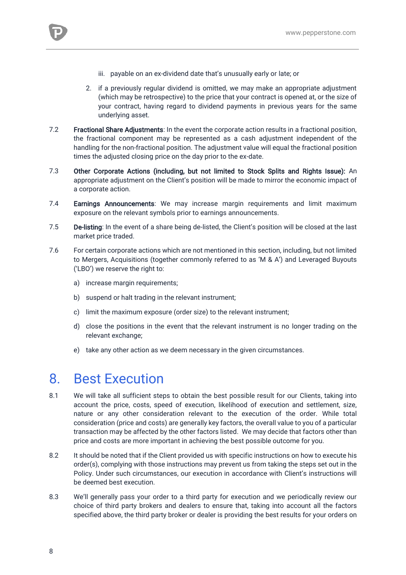

- iii. payable on an ex-dividend date that's unusually early or late; or
- 2. if a previously regular dividend is omitted, we may make an appropriate adjustment (which may be retrospective) to the price that your contract is opened at, or the size of your contract, having regard to dividend payments in previous years for the same underlying asset.
- 7.2 Fractional Share Adjustments: In the event the corporate action results in a fractional position, the fractional component may be represented as a cash adjustment independent of the handling for the non-fractional position. The adjustment value will equal the fractional position times the adjusted closing price on the day prior to the ex-date.
- 7.3 Other Corporate Actions (including, but not limited to Stock Splits and Rights Issue): An appropriate adjustment on the Client's position will be made to mirror the economic impact of a corporate action.
- 7.4 Earnings Announcements: We may increase margin requirements and limit maximum exposure on the relevant symbols prior to earnings announcements.
- 7.5 De-listing: In the event of a share being de-listed, the Client's position will be closed at the last market price traded.
- 7.6 For certain corporate actions which are not mentioned in this section, including, but not limited to Mergers, Acquisitions (together commonly referred to as 'M & A') and Leveraged Buyouts ('LBO') we reserve the right to:
	- a) increase margin requirements;
	- b) suspend or halt trading in the relevant instrument;
	- c) limit the maximum exposure (order size) to the relevant instrument;
	- d) close the positions in the event that the relevant instrument is no longer trading on the relevant exchange;
	- e) take any other action as we deem necessary in the given circumstances.

### 8. Best Execution

- 8.1 We will take all sufficient steps to obtain the best possible result for our Clients, taking into account the price, costs, speed of execution, likelihood of execution and settlement, size, nature or any other consideration relevant to the execution of the order. While total consideration (price and costs) are generally key factors, the overall value to you of a particular transaction may be affected by the other factors listed. We may decide that factors other than price and costs are more important in achieving the best possible outcome for you.
- 8.2 It should be noted that if the Client provided us with specific instructions on how to execute his order(s), complying with those instructions may prevent us from taking the steps set out in the Policy. Under such circumstances, our execution in accordance with Client's instructions will be deemed best execution.
- 8.3 We'll generally pass your order to a third party for execution and we periodically review our choice of third party brokers and dealers to ensure that, taking into account all the factors specified above, the third party broker or dealer is providing the best results for your orders on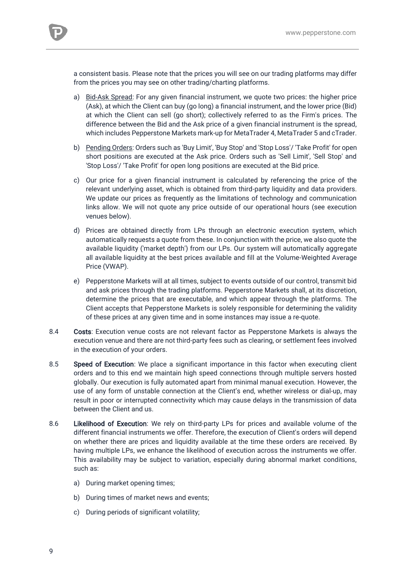a consistent basis. Please note that the prices you will see on our trading platforms may differ from the prices you may see on other trading/charting platforms.

- a) Bid-Ask Spread: For any given financial instrument, we quote two prices: the higher price (Ask), at which the Client can buy (go long) a financial instrument, and the lower price (Bid) at which the Client can sell (go short); collectively referred to as the Firm's prices. The difference between the Bid and the Ask price of a given financial instrument is the spread, which includes Pepperstone Markets mark-up for MetaTrader 4, MetaTrader 5 and cTrader.
- b) Pending Orders: Orders such as 'Buy Limit', 'Buy Stop' and 'Stop Loss'/ 'Take Profit' for open short positions are executed at the Ask price. Orders such as 'Sell Limit', 'Sell Stop' and 'Stop Loss'/ 'Take Profit' for open long positions are executed at the Bid price.
- c) Our price for a given financial instrument is calculated by referencing the price of the relevant underlying asset, which is obtained from third-party liquidity and data providers. We update our prices as frequently as the limitations of technology and communication links allow. We will not quote any price outside of our operational hours (see execution venues below).
- d) Prices are obtained directly from LPs through an electronic execution system, which automatically requests a quote from these. In conjunction with the price, we also quote the available liquidity ('market depth') from our LPs. Our system will automatically aggregate all available liquidity at the best prices available and fill at the Volume-Weighted Average Price (VWAP).
- e) Pepperstone Markets will at all times, subject to events outside of our control, transmit bid and ask prices through the trading platforms. Pepperstone Markets shall, at its discretion, determine the prices that are executable, and which appear through the platforms. The Client accepts that Pepperstone Markets is solely responsible for determining the validity of these prices at any given time and in some instances may issue a re-quote.
- 8.4 Costs: Execution venue costs are not relevant factor as Pepperstone Markets is always the execution venue and there are not third-party fees such as clearing, or settlement fees involved in the execution of your orders.
- 8.5 Speed of Execution: We place a significant importance in this factor when executing client orders and to this end we maintain high speed connections through multiple servers hosted globally. Our execution is fully automated apart from minimal manual execution. However, the use of any form of unstable connection at the Client's end, whether wireless or dial-up, may result in poor or interrupted connectivity which may cause delays in the transmission of data between the Client and us.
- 8.6 Likelihood of Execution: We rely on third-party LPs for prices and available volume of the different financial instruments we offer. Therefore, the execution of Client's orders will depend on whether there are prices and liquidity available at the time these orders are received. By having multiple LPs, we enhance the likelihood of execution across the instruments we offer. This availability may be subject to variation, especially during abnormal market conditions, such as:
	- a) During market opening times;
	- b) During times of market news and events;
	- c) During periods of significant volatility;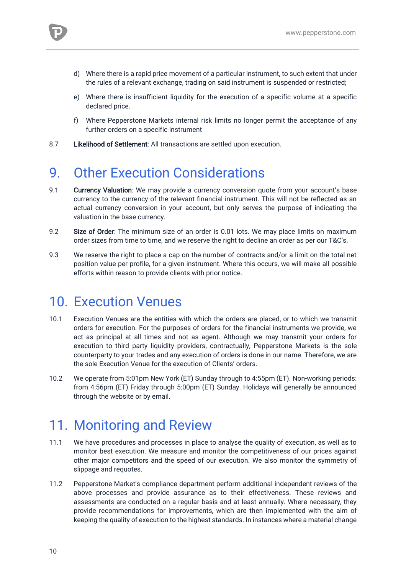

- e) Where there is insufficient liquidity for the execution of a specific volume at a specific declared price.
- f) Where Pepperstone Markets internal risk limits no longer permit the acceptance of any further orders on a specific instrument
- 8.7 Likelihood of Settlement: All transactions are settled upon execution.

# 9. Other Execution Considerations

- 9.1 Currency Valuation: We may provide a currency conversion quote from your account's base currency to the currency of the relevant financial instrument. This will not be reflected as an actual currency conversion in your account, but only serves the purpose of indicating the valuation in the base currency.
- 9.2 Size of Order: The minimum size of an order is 0.01 lots. We may place limits on maximum order sizes from time to time, and we reserve the right to decline an order as per our T&C's.
- 9.3 We reserve the right to place a cap on the number of contracts and/or a limit on the total net position value per profile, for a given instrument. Where this occurs, we will make all possible efforts within reason to provide clients with prior notice.

# 10. Execution Venues

- 10.1 Execution Venues are the entities with which the orders are placed, or to which we transmit orders for execution. For the purposes of orders for the financial instruments we provide, we act as principal at all times and not as agent. Although we may transmit your orders for execution to third party liquidity providers, contractually, Pepperstone Markets is the sole counterparty to your trades and any execution of orders is done in our name. Therefore, we are the sole Execution Venue for the execution of Clients' orders.
- 10.2 We operate from 5:01pm New York (ET) Sunday through to 4:55pm (ET). Non-working periods: from 4:56pm (ET) Friday through 5:00pm (ET) Sunday. Holidays will generally be announced through the website or by email.

# 11. Monitoring and Review

- 11.1 We have procedures and processes in place to analyse the quality of execution, as well as to monitor best execution. We measure and monitor the competitiveness of our prices against other major competitors and the speed of our execution. We also monitor the symmetry of slippage and requotes.
- 11.2 Pepperstone Market's compliance department perform additional independent reviews of the above processes and provide assurance as to their effectiveness. These reviews and assessments are conducted on a regular basis and at least annually. Where necessary, they provide recommendations for improvements, which are then implemented with the aim of keeping the quality of execution to the highest standards. In instances where a material change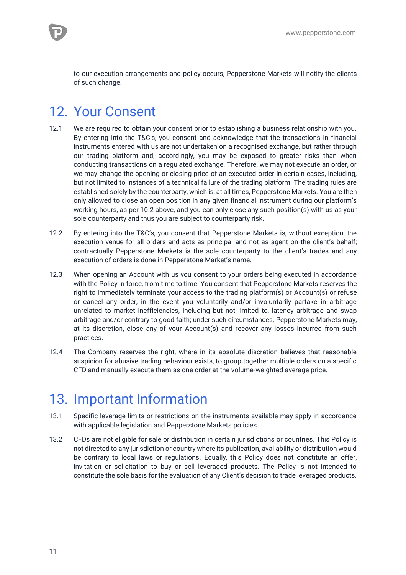to our execution arrangements and policy occurs, Pepperstone Markets will notify the clients of such change.

# 12. Your Consent

- 12.1 We are required to obtain your consent prior to establishing a business relationship with you. By entering into the T&C's, you consent and acknowledge that the transactions in financial instruments entered with us are not undertaken on a recognised exchange, but rather through our trading platform and, accordingly, you may be exposed to greater risks than when conducting transactions on a regulated exchange. Therefore, we may not execute an order, or we may change the opening or closing price of an executed order in certain cases, including, but not limited to instances of a technical failure of the trading platform. The trading rules are established solely by the counterparty, which is, at all times, Pepperstone Markets. You are then only allowed to close an open position in any given financial instrument during our platform's working hours, as per 10.2 above, and you can only close any such position(s) with us as your sole counterparty and thus you are subject to counterparty risk.
- 12.2 By entering into the T&C's, you consent that Pepperstone Markets is, without exception, the execution venue for all orders and acts as principal and not as agent on the client's behalf; contractually Pepperstone Markets is the sole counterparty to the client's trades and any execution of orders is done in Pepperstone Market's name.
- 12.3 When opening an Account with us you consent to your orders being executed in accordance with the Policy in force, from time to time. You consent that Pepperstone Markets reserves the right to immediately terminate your access to the trading platform(s) or Account(s) or refuse or cancel any order, in the event you voluntarily and/or involuntarily partake in arbitrage unrelated to market inefficiencies, including but not limited to, latency arbitrage and swap arbitrage and/or contrary to good faith; under such circumstances, Pepperstone Markets may, at its discretion, close any of your Account(s) and recover any losses incurred from such practices.
- 12.4 The Company reserves the right, where in its absolute discretion believes that reasonable suspicion for abusive trading behaviour exists, to group together multiple orders on a specific CFD and manually execute them as one order at the volume-weighted average price.

# 13. Important Information

- 13.1 Specific leverage limits or restrictions on the instruments available may apply in accordance with applicable legislation and Pepperstone Markets policies.
- 13.2 CFDs are not eligible for sale or distribution in certain jurisdictions or countries. This Policy is not directed to any jurisdiction or country where its publication, availability or distribution would be contrary to local laws or regulations. Equally, this Policy does not constitute an offer, invitation or solicitation to buy or sell leveraged products. The Policy is not intended to constitute the sole basis for the evaluation of any Client's decision to trade leveraged products.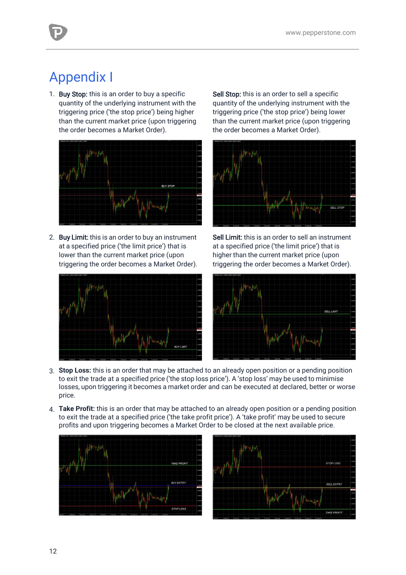# Appendix I

1. Buy Stop: this is an order to buy a specific quantity of the underlying instrument with the triggering price ('the stop price') being higher than the current market price (upon triggering the order becomes a Market Order).



2. Buy Limit: this is an order to buy an instrument at a specified price ('the limit price') that is lower than the current market price (upon triggering the order becomes a Market Order).



Sell Stop: this is an order to sell a specific quantity of the underlying instrument with the triggering price ('the stop price') being lower than the current market price (upon triggering the order becomes a Market Order).



Sell Limit: this is an order to sell an instrument at a specified price ('the limit price') that is higher than the current market price (upon triggering the order becomes a Market Order).



- 3. **Stop Loss:** this is an order that may be attached to an already open position or a pending position to exit the trade at a specified price ('the stop loss price'). A 'stop loss' may be used to minimise losses, upon triggering it becomes a market order and can be executed at declared, better or worse price.
- 4. **Take Profit:** this is an order that may be attached to an already open position or a pending position to exit the trade at a specified price ('the take profit price'). A 'take profit' may be used to secure profits and upon triggering becomes a Market Order to be closed at the next available price.



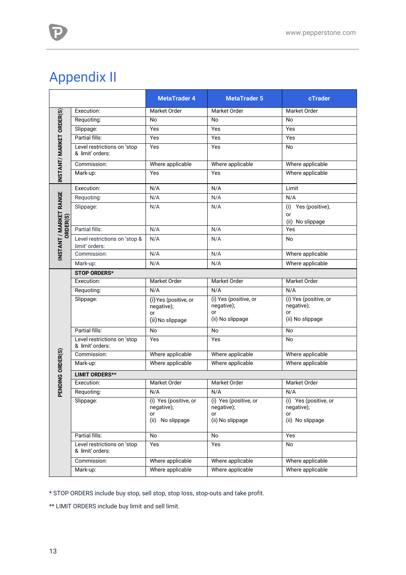# Appendix II

P)

|                                    |                                                 | <b>MetaTrader 4</b>                                              | <b>MetaTrader 5</b>                                           | cTrader                                                       |
|------------------------------------|-------------------------------------------------|------------------------------------------------------------------|---------------------------------------------------------------|---------------------------------------------------------------|
| INSTANT/ MARKET ORDER(S)           | Execution:                                      | <b>Market Order</b>                                              | Market Order                                                  | Market Order                                                  |
|                                    | Requoting:                                      | No                                                               | No                                                            | No                                                            |
|                                    | Slippage:                                       | Yes                                                              | Yes                                                           | Yes                                                           |
|                                    | Partial fills:                                  | Yes                                                              | Yes                                                           | Yes                                                           |
|                                    | Level restrictions on 'stop<br>& limit' orders: | Yes                                                              | Yes                                                           | No                                                            |
|                                    | Commission:                                     | Where applicable                                                 | Where applicable                                              | Where applicable                                              |
|                                    | Mark-up:                                        | Yes                                                              | Yes                                                           | Where applicable                                              |
| INSTANT / MARKET RANGE<br>ORDER(S) | Execution:                                      | N/A                                                              | N/A                                                           | Limit                                                         |
|                                    | Requoting:                                      | N/A                                                              | N/A                                                           | N/A                                                           |
|                                    | Slippage:                                       | N/A                                                              | N/A                                                           | Yes (positive),<br>(i)<br>or<br>(ii) No slippage              |
|                                    | Partial fills:                                  | N/A                                                              | N/A                                                           | Yes                                                           |
|                                    | Level restrictions on 'stop &<br>limit' orders: | N/A                                                              | N/A                                                           | No                                                            |
|                                    | Commission:                                     | N/A                                                              | N/A                                                           | Where applicable                                              |
|                                    | Mark-up:                                        | N/A                                                              | N/A                                                           | Where applicable                                              |
|                                    | <b>STOP ORDERS*</b>                             |                                                                  |                                                               |                                                               |
| PENDING ORDER(S)                   | Execution:                                      | <b>Market Order</b>                                              | Market Order                                                  | <b>Market Order</b>                                           |
|                                    | Requoting:                                      | N/A                                                              | N/A                                                           | N/A                                                           |
|                                    | Slippage:                                       | (i) Yes (positive, or<br>negative);<br>or                        | (i) Yes (positive, or<br>negative);<br>or<br>(ii) No slippage | (i) Yes (positive, or<br>negative);<br>or<br>(ii) No slippage |
|                                    |                                                 | (ii) No slippage                                                 |                                                               |                                                               |
|                                    | Partial fills:                                  | <b>No</b>                                                        | <b>No</b>                                                     | <b>No</b>                                                     |
|                                    | Level restrictions on 'stop<br>& limit' orders: | Yes                                                              | Yes                                                           | <b>No</b>                                                     |
|                                    | Commission:                                     | Where applicable                                                 | Where applicable                                              | Where applicable                                              |
|                                    | Mark-up:                                        | Where applicable                                                 | Where applicable                                              | Where applicable                                              |
|                                    | <b>LIMIT ORDERS**</b>                           |                                                                  |                                                               |                                                               |
|                                    | Execution:                                      | Market Order                                                     | Market Order                                                  | Market Order                                                  |
|                                    | Requoting:                                      | N/A                                                              | N/A                                                           | N/A                                                           |
|                                    | Slippage:                                       | (i) Yes (positive, or<br>negative);<br>or<br>No slippage<br>(ii) | (i) Yes (positive, or<br>negative);<br>or<br>(ii) No slippage | (i) Yes (positive, or<br>negative);<br>or<br>(ii) No slippage |
|                                    | Partial fills:                                  | No                                                               | No                                                            | Yes                                                           |
|                                    | Level restrictions on 'stop<br>& limit' orders: | Yes                                                              | Yes                                                           | No                                                            |
|                                    | Commission:                                     | Where applicable                                                 | Where applicable                                              | Where applicable                                              |
|                                    | Mark-up:                                        | Where applicable                                                 | Where applicable                                              | Where applicable                                              |

\* STOP ORDERS include buy stop, sell stop, stop loss, stop-outs and take profit.

\*\* LIMIT ORDERS include buy limit and sell limit.